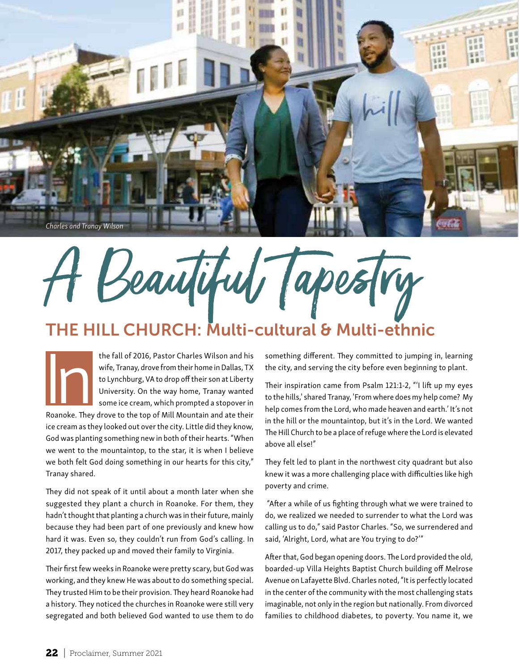

Beautiful Tapestry

## THE HILL CHURCH: Multi-cultural & Multi-ethnic

the fall of 2016, Pastor Charles Wilson and his wife, Tranay, drove from their home in Dallas, TX to Lynchburg, VA to drop off their son at Liberty University. On the way home, Tranay wanted some ice cream, which prompted a stopover in the fall of 2016, Pastor Charles Wilson and his<br>wife, Tranay, drove from their home in Dallas, TX<br>to Lynchburg, VA to drop off their son at Liberty<br>University. On the way home, Tranay wanted<br>some ice cream, which prompted

ice cream as they looked out over the city. Little did they know, God was planting something new in both of their hearts. "When we went to the mountaintop, to the star, it is when I believe we both felt God doing something in our hearts for this city," Tranay shared.

They did not speak of it until about a month later when she suggested they plant a church in Roanoke. For them, they hadn't thought that planting a church was in their future, mainly because they had been part of one previously and knew how hard it was. Even so, they couldn't run from God's calling. In 2017, they packed up and moved their family to Virginia.

Their first few weeks in Roanoke were pretty scary, but God was working, and they knew He was about to do something special. They trusted Him to be their provision. They heard Roanoke had a history. They noticed the churches in Roanoke were still very segregated and both believed God wanted to use them to do something different. They committed to jumping in, learning the city, and serving the city before even beginning to plant.

Their inspiration came from Psalm 121:1-2, "'I lift up my eyes to the hills,' shared Tranay, 'From where does my help come? My help comes from the Lord, who made heaven and earth.' It's not in the hill or the mountaintop, but it's in the Lord. We wanted The Hill Church to be a place of refuge where the Lord is elevated above all else!"

They felt led to plant in the northwest city quadrant but also knew it was a more challenging place with difficulties like high poverty and crime.

 "After a while of us fighting through what we were trained to do, we realized we needed to surrender to what the Lord was calling us to do," said Pastor Charles. "So, we surrendered and said, 'Alright, Lord, what are You trying to do?'"

After that, God began opening doors. The Lord provided the old, boarded-up Villa Heights Baptist Church building off Melrose Avenue on Lafayette Blvd. Charles noted, "It is perfectly located in the center of the community with the most challenging stats imaginable, not only in the region but nationally. From divorced families to childhood diabetes, to poverty. You name it, we